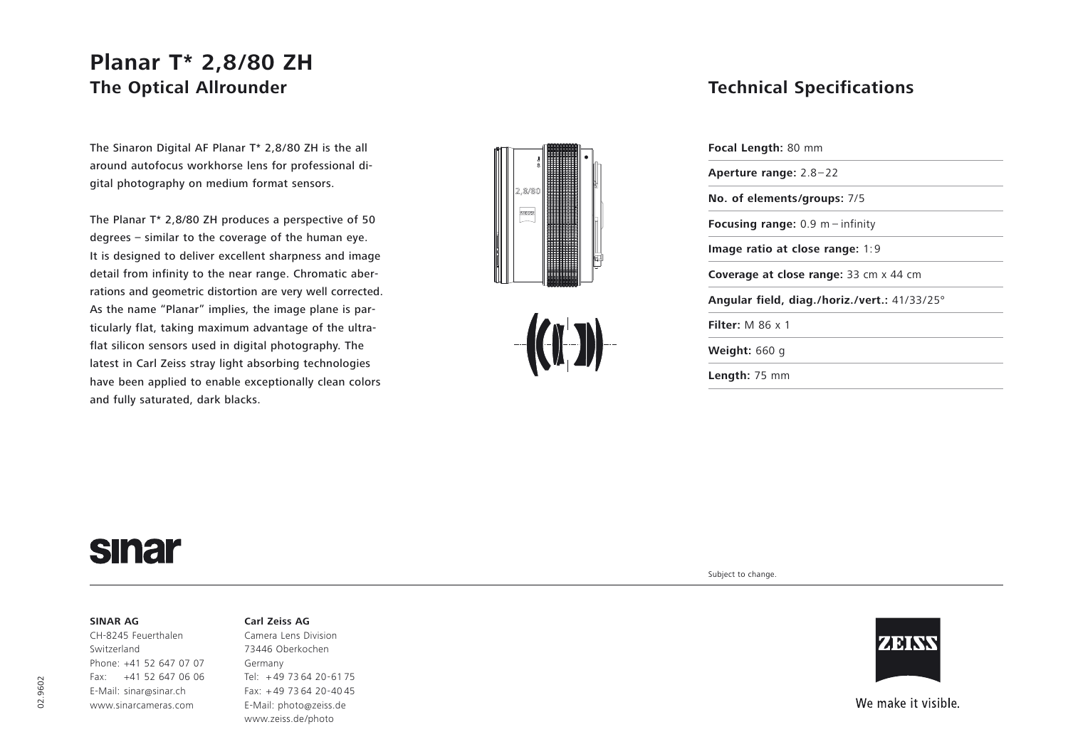## **Planar T\* 2,8/80 ZH The Optical Allrounder**

The Sinaron Digital AF Planar T\* 2,8/80 ZH is the all around autofocus workhorse lens for professional digital photography on medium format sensors.

The Planar T\* 2,8/80 ZH produces a perspective of 50 degrees – similar to the coverage of the human eye. It is designed to deliver excellent sharpness and image detail from infinity to the near range. Chromatic aberrations and geometric distortion are very well corrected. As the name "Planar" implies, the image plane is particularly flat, taking maximum advantage of the ultraflat silicon sensors used in digital photography. The latest in Carl Zeiss stray light absorbing technologies have been applied to enable exceptionally clean colors and fully saturated, dark blacks.





### **Technical Specifications**

| Focal Length: 80 mm                          |
|----------------------------------------------|
| Aperture range: $2.8 - 22$                   |
| No. of elements/groups: 7/5                  |
| <b>Focusing range:</b> $0.9$ m – infinity    |
| Image ratio at close range: $1:9$            |
| Coverage at close range: 33 cm x 44 cm       |
| Angular field, diag./horiz./vert.: 41/33/25° |
| Filter: $M$ 86 $\times$ 1                    |
| <b>Weight:</b> 660 g                         |
| Length: 75 mm                                |
|                                              |

# **sinar**

**SINAR AG**

CH-8245 Feuerthalen Switzerland Phone: +41 52 647 07 07 Fax: +41 52 647 06 06 E-Mail: sinar@sinar.ch www.sinarcameras.com

#### **Carl Zeiss AG**

Camera Lens Division 73446 Oberkochen Germany Tel: <sup>+</sup> 49 73 64 20-61 75 Fax: + 49 73 64 20-40 45 E-Mail: photo@zeiss.de www.zeiss.de/photo

Subject to change.



We make it visible.